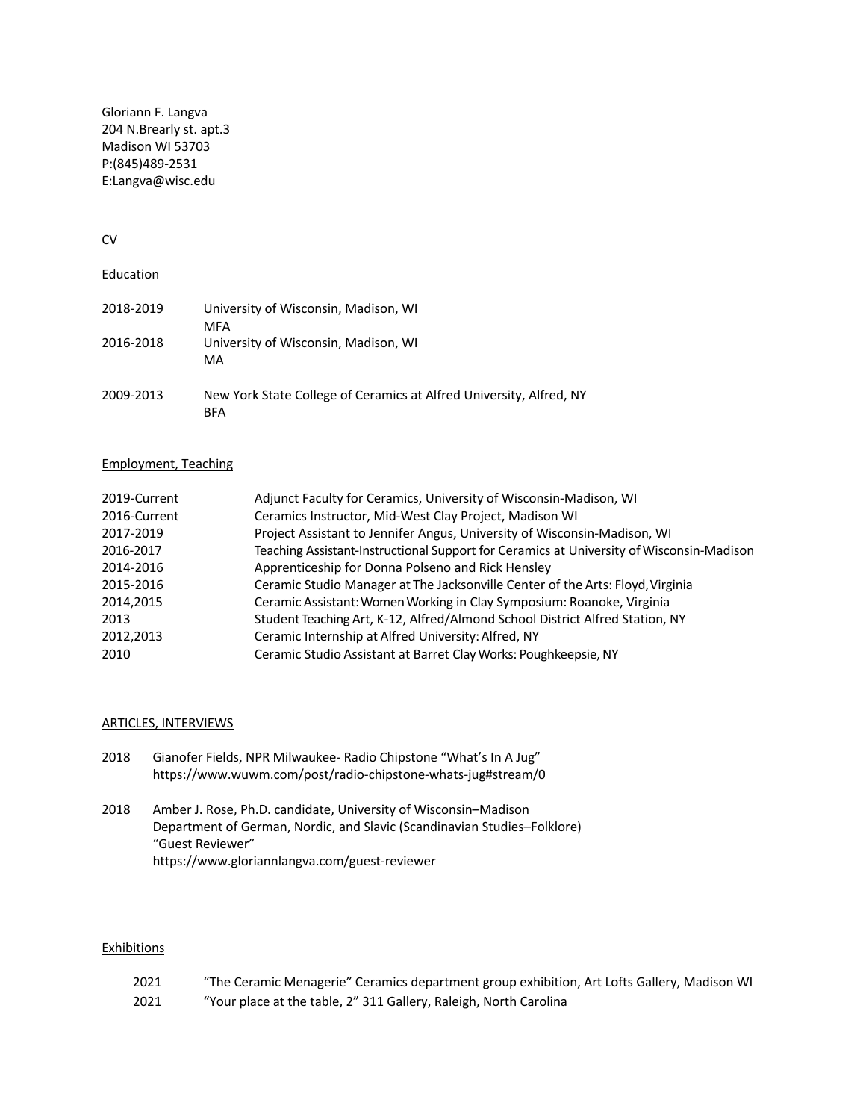Gloriann F. Langva 204 N.Brearly st. apt.3 Madison WI 53703 P:(845)489-2531 E:Langva@wisc.edu

### CV

# **Education**

| 2018-2019 | University of Wisconsin, Madison, WI<br>MFA                                       |
|-----------|-----------------------------------------------------------------------------------|
| 2016-2018 | University of Wisconsin, Madison, WI<br>MA                                        |
| 2009-2013 | New York State College of Ceramics at Alfred University, Alfred, NY<br><b>BFA</b> |

#### Employment, Teaching

| 2019-Current | Adjunct Faculty for Ceramics, University of Wisconsin-Madison, WI                        |
|--------------|------------------------------------------------------------------------------------------|
| 2016-Current | Ceramics Instructor, Mid-West Clay Project, Madison WI                                   |
| 2017-2019    | Project Assistant to Jennifer Angus, University of Wisconsin-Madison, WI                 |
| 2016-2017    | Teaching Assistant-Instructional Support for Ceramics at University of Wisconsin-Madison |
| 2014-2016    | Apprenticeship for Donna Polseno and Rick Hensley                                        |
| 2015-2016    | Ceramic Studio Manager at The Jacksonville Center of the Arts: Floyd, Virginia           |
| 2014,2015    | Ceramic Assistant: Women Working in Clay Symposium: Roanoke, Virginia                    |
| 2013         | Student Teaching Art, K-12, Alfred/Almond School District Alfred Station, NY             |
| 2012.2013    | Ceramic Internship at Alfred University: Alfred, NY                                      |
| 2010         | Ceramic Studio Assistant at Barret Clay Works: Poughkeepsie, NY                          |

## ARTICLES, INTERVIEWS

| 2018 | Gianofer Fields, NPR Milwaukee- Radio Chipstone "What's In A Jug" |
|------|-------------------------------------------------------------------|
|      | https://www.wuwm.com/post/radio-chipstone-whats-jug#stream/0      |

2018 Amber J. Rose, Ph.D. candidate, University of Wisconsin–Madison Department of German, Nordic, and Slavic (Scandinavian Studies–Folklore) "Guest Reviewer" https://www.gloriannlangva.com/guest-reviewer

#### **Exhibitions**

| 2021 | "The Ceramic Menagerie" Ceramics department group exhibition, Art Lofts Gallery, Madison WI |
|------|---------------------------------------------------------------------------------------------|
| 2021 | "Your place at the table, 2" 311 Gallery, Raleigh, North Carolina                           |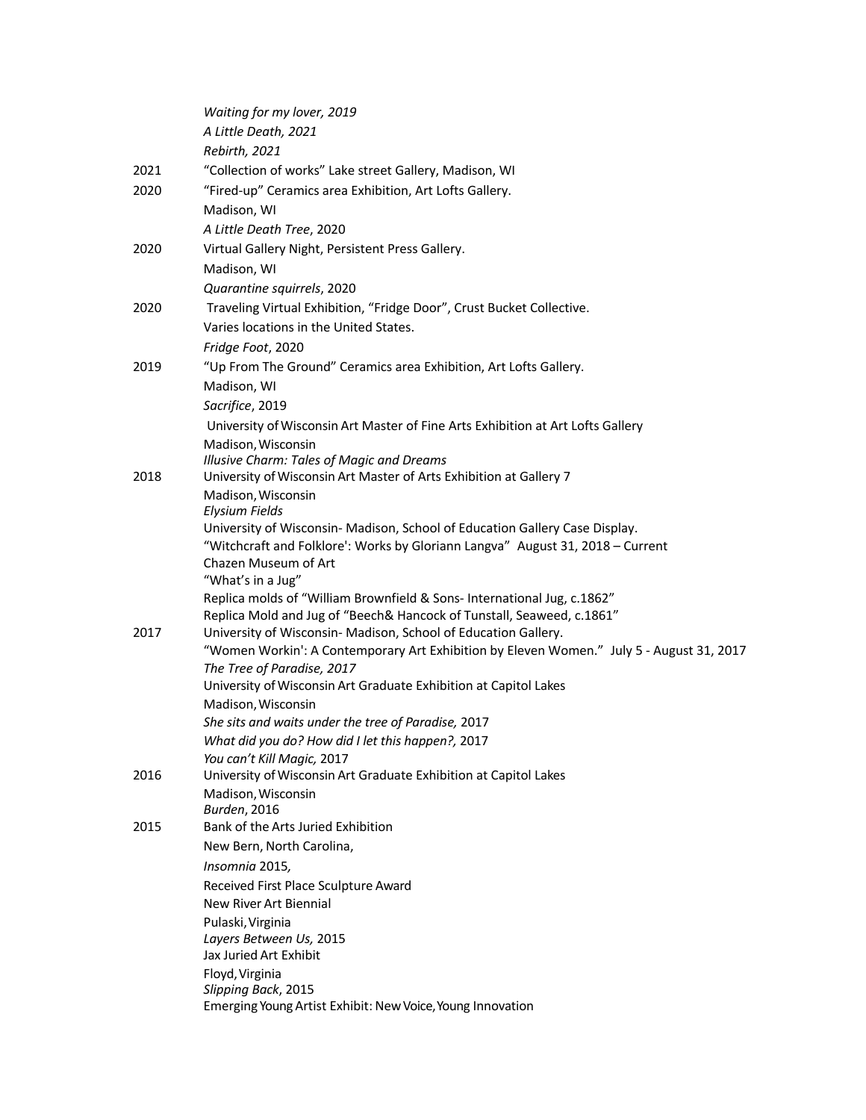|      | Waiting for my lover, 2019                                                               |
|------|------------------------------------------------------------------------------------------|
|      | A Little Death, 2021                                                                     |
|      | Rebirth, 2021                                                                            |
| 2021 | "Collection of works" Lake street Gallery, Madison, WI                                   |
| 2020 | "Fired-up" Ceramics area Exhibition, Art Lofts Gallery.                                  |
|      | Madison, WI                                                                              |
|      | A Little Death Tree, 2020                                                                |
| 2020 | Virtual Gallery Night, Persistent Press Gallery.                                         |
|      | Madison, WI                                                                              |
|      | Quarantine squirrels, 2020                                                               |
| 2020 | Traveling Virtual Exhibition, "Fridge Door", Crust Bucket Collective.                    |
|      | Varies locations in the United States.                                                   |
|      | Fridge Foot, 2020                                                                        |
| 2019 | "Up From The Ground" Ceramics area Exhibition, Art Lofts Gallery.                        |
|      | Madison, WI                                                                              |
|      | Sacrifice, 2019                                                                          |
|      | University of Wisconsin Art Master of Fine Arts Exhibition at Art Lofts Gallery          |
|      | Madison, Wisconsin                                                                       |
|      | Illusive Charm: Tales of Magic and Dreams                                                |
| 2018 | University of Wisconsin Art Master of Arts Exhibition at Gallery 7                       |
|      | Madison, Wisconsin                                                                       |
|      | <b>Elysium Fields</b>                                                                    |
|      | University of Wisconsin- Madison, School of Education Gallery Case Display.              |
|      | "Witchcraft and Folklore': Works by Gloriann Langva" August 31, 2018 - Current           |
|      | Chazen Museum of Art<br>"What's in a Jug"                                                |
|      | Replica molds of "William Brownfield & Sons-International Jug, c.1862"                   |
|      | Replica Mold and Jug of "Beech& Hancock of Tunstall, Seaweed, c.1861"                    |
| 2017 | University of Wisconsin- Madison, School of Education Gallery.                           |
|      | "Women Workin': A Contemporary Art Exhibition by Eleven Women." July 5 - August 31, 2017 |
|      | The Tree of Paradise, 2017                                                               |
|      | University of Wisconsin Art Graduate Exhibition at Capitol Lakes                         |
|      | Madison, Wisconsin                                                                       |
|      | She sits and waits under the tree of Paradise, 2017                                      |
|      | What did you do? How did I let this happen?, 2017                                        |
|      | You can't Kill Magic, 2017                                                               |
| 2016 | University of Wisconsin Art Graduate Exhibition at Capitol Lakes<br>Madison, Wisconsin   |
|      | <b>Burden</b> , 2016                                                                     |
| 2015 | Bank of the Arts Juried Exhibition                                                       |
|      | New Bern, North Carolina,                                                                |
|      | Insomnia 2015,                                                                           |
|      | Received First Place Sculpture Award                                                     |
|      | New River Art Biennial                                                                   |
|      | Pulaski, Virginia                                                                        |
|      | Layers Between Us, 2015                                                                  |
|      | Jax Juried Art Exhibit                                                                   |
|      | Floyd, Virginia<br>Slipping Back, 2015                                                   |
|      | Emerging Young Artist Exhibit: New Voice, Young Innovation                               |
|      |                                                                                          |